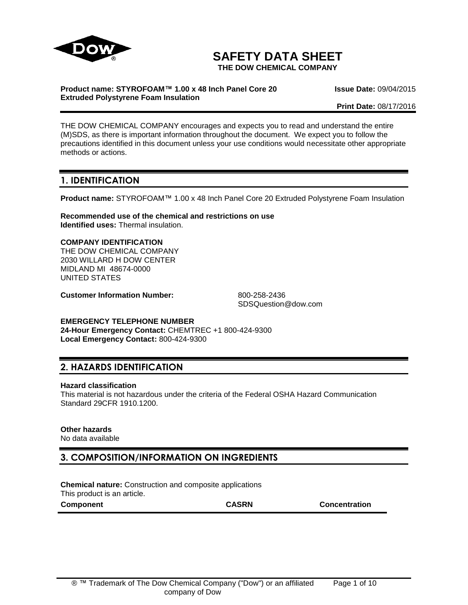

# **SAFETY DATA SHEET**

**THE DOW CHEMICAL COMPANY**

#### **Product name: STYROFOAM™ 1.00 x 48 Inch Panel Core 20 Extruded Polystyrene Foam Insulation**

**Issue Date:** 09/04/2015

**Print Date:** 08/17/2016

THE DOW CHEMICAL COMPANY encourages and expects you to read and understand the entire (M)SDS, as there is important information throughout the document. We expect you to follow the precautions identified in this document unless your use conditions would necessitate other appropriate methods or actions.

### **1. IDENTIFICATION**

**Product name:** STYROFOAM™ 1.00 x 48 Inch Panel Core 20 Extruded Polystyrene Foam Insulation

**Recommended use of the chemical and restrictions on use Identified uses:** Thermal insulation.

#### **COMPANY IDENTIFICATION**

THE DOW CHEMICAL COMPANY 2030 WILLARD H DOW CENTER MIDLAND MI 48674-0000 UNITED STATES

**Customer Information Number:** 800-258-2436

SDSQuestion@dow.com

#### **EMERGENCY TELEPHONE NUMBER**

**24-Hour Emergency Contact:** CHEMTREC +1 800-424-9300 **Local Emergency Contact:** 800-424-9300

### **2. HAZARDS IDENTIFICATION**

#### **Hazard classification**

This material is not hazardous under the criteria of the Federal OSHA Hazard Communication Standard 29CFR 1910.1200.

#### **Other hazards**

No data available

### **3. COMPOSITION/INFORMATION ON INGREDIENTS**

**Chemical nature:** Construction and composite applications This product is an article.

**Component CASRN Concentration**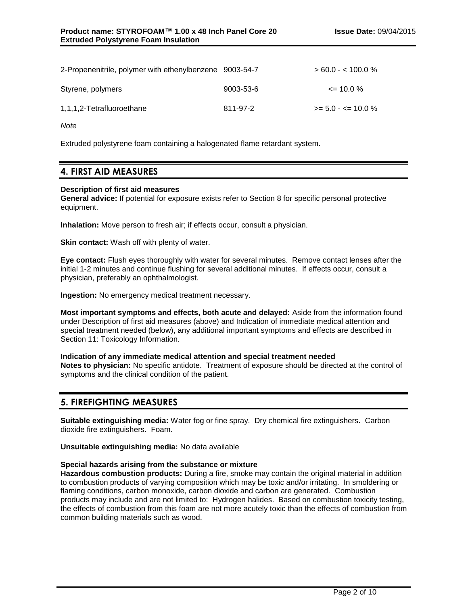| 2-Propenenitrile, polymer with ethenylbenzene 9003-54-7 |           | $> 60.0 - < 100.0 %$   |
|---------------------------------------------------------|-----------|------------------------|
| Styrene, polymers                                       | 9003-53-6 | $\leq$ 10.0 %          |
| 1,1,1,2-Tetrafluoroethane                               | 811-97-2  | $>= 5.0 - \le 10.0 \%$ |

*Note*

Extruded polystyrene foam containing a halogenated flame retardant system.

### **4. FIRST AID MEASURES**

#### **Description of first aid measures**

**General advice:** If potential for exposure exists refer to Section 8 for specific personal protective equipment.

**Inhalation:** Move person to fresh air; if effects occur, consult a physician.

**Skin contact:** Wash off with plenty of water.

**Eye contact:** Flush eyes thoroughly with water for several minutes. Remove contact lenses after the initial 1-2 minutes and continue flushing for several additional minutes. If effects occur, consult a physician, preferably an ophthalmologist.

**Ingestion:** No emergency medical treatment necessary.

**Most important symptoms and effects, both acute and delayed:** Aside from the information found under Description of first aid measures (above) and Indication of immediate medical attention and special treatment needed (below), any additional important symptoms and effects are described in Section 11: Toxicology Information.

#### **Indication of any immediate medical attention and special treatment needed**

**Notes to physician:** No specific antidote. Treatment of exposure should be directed at the control of symptoms and the clinical condition of the patient.

### **5. FIREFIGHTING MEASURES**

**Suitable extinguishing media:** Water fog or fine spray. Dry chemical fire extinguishers. Carbon dioxide fire extinguishers. Foam.

**Unsuitable extinguishing media:** No data available

#### **Special hazards arising from the substance or mixture**

**Hazardous combustion products:** During a fire, smoke may contain the original material in addition to combustion products of varying composition which may be toxic and/or irritating. In smoldering or flaming conditions, carbon monoxide, carbon dioxide and carbon are generated. Combustion products may include and are not limited to: Hydrogen halides. Based on combustion toxicity testing, the effects of combustion from this foam are not more acutely toxic than the effects of combustion from common building materials such as wood.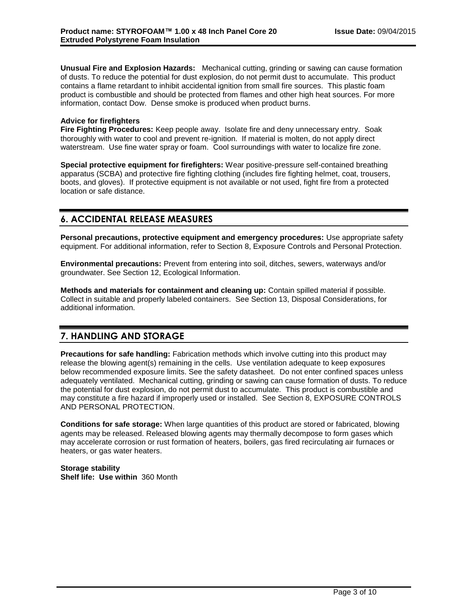**Unusual Fire and Explosion Hazards:** Mechanical cutting, grinding or sawing can cause formation of dusts. To reduce the potential for dust explosion, do not permit dust to accumulate. This product contains a flame retardant to inhibit accidental ignition from small fire sources. This plastic foam product is combustible and should be protected from flames and other high heat sources. For more information, contact Dow. Dense smoke is produced when product burns.

#### **Advice for firefighters**

**Fire Fighting Procedures:** Keep people away. Isolate fire and deny unnecessary entry. Soak thoroughly with water to cool and prevent re-ignition. If material is molten, do not apply direct waterstream. Use fine water spray or foam. Cool surroundings with water to localize fire zone.

**Special protective equipment for firefighters:** Wear positive-pressure self-contained breathing apparatus (SCBA) and protective fire fighting clothing (includes fire fighting helmet, coat, trousers, boots, and gloves). If protective equipment is not available or not used, fight fire from a protected location or safe distance.

### **6. ACCIDENTAL RELEASE MEASURES**

**Personal precautions, protective equipment and emergency procedures:** Use appropriate safety equipment. For additional information, refer to Section 8, Exposure Controls and Personal Protection.

**Environmental precautions:** Prevent from entering into soil, ditches, sewers, waterways and/or groundwater. See Section 12, Ecological Information.

**Methods and materials for containment and cleaning up:** Contain spilled material if possible. Collect in suitable and properly labeled containers. See Section 13, Disposal Considerations, for additional information.

# **7. HANDLING AND STORAGE**

**Precautions for safe handling:** Fabrication methods which involve cutting into this product may release the blowing agent(s) remaining in the cells. Use ventilation adequate to keep exposures below recommended exposure limits. See the safety datasheet. Do not enter confined spaces unless adequately ventilated. Mechanical cutting, grinding or sawing can cause formation of dusts. To reduce the potential for dust explosion, do not permit dust to accumulate. This product is combustible and may constitute a fire hazard if improperly used or installed. See Section 8, EXPOSURE CONTROLS AND PERSONAL PROTECTION.

**Conditions for safe storage:** When large quantities of this product are stored or fabricated, blowing agents may be released. Released blowing agents may thermally decompose to form gases which may accelerate corrosion or rust formation of heaters, boilers, gas fired recirculating air furnaces or heaters, or gas water heaters.

**Storage stability Shelf life: Use within** 360 Month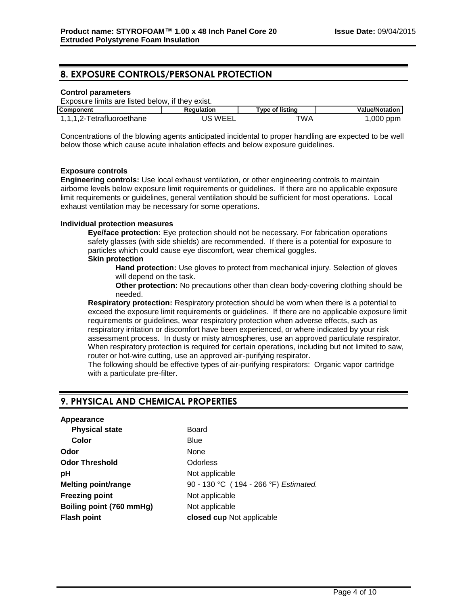### **8. EXPOSURE CONTROLS/PERSONAL PROTECTION**

#### **Control parameters**

Exposure limits are listed below, if they exist.

| <b>Component</b>          | Reaulation | Type of listing | <b>Value/Notation</b> |
|---------------------------|------------|-----------------|-----------------------|
| 1,1,1,2-Tetrafluoroethane | JS WEEI    | "WA             | ,000 ppm              |

Concentrations of the blowing agents anticipated incidental to proper handling are expected to be well below those which cause acute inhalation effects and below exposure guidelines.

#### **Exposure controls**

**Engineering controls:** Use local exhaust ventilation, or other engineering controls to maintain airborne levels below exposure limit requirements or guidelines. If there are no applicable exposure limit requirements or guidelines, general ventilation should be sufficient for most operations. Local exhaust ventilation may be necessary for some operations.

#### **Individual protection measures**

**Eye/face protection:** Eye protection should not be necessary. For fabrication operations safety glasses (with side shields) are recommended. If there is a potential for exposure to particles which could cause eye discomfort, wear chemical goggles.

#### **Skin protection**

**Hand protection:** Use gloves to protect from mechanical injury. Selection of gloves will depend on the task.

**Other protection:** No precautions other than clean body-covering clothing should be needed.

**Respiratory protection:** Respiratory protection should be worn when there is a potential to exceed the exposure limit requirements or guidelines. If there are no applicable exposure limit requirements or guidelines, wear respiratory protection when adverse effects, such as respiratory irritation or discomfort have been experienced, or where indicated by your risk assessment process. In dusty or misty atmospheres, use an approved particulate respirator. When respiratory protection is required for certain operations, including but not limited to saw, router or hot-wire cutting, use an approved air-purifying respirator.

The following should be effective types of air-purifying respirators: Organic vapor cartridge with a particulate pre-filter.

### **9. PHYSICAL AND CHEMICAL PROPERTIES**

| Board                                 |
|---------------------------------------|
| Blue                                  |
| None                                  |
| Odorless                              |
| Not applicable                        |
| 90 - 130 °C (194 - 266 °F) Estimated. |
| Not applicable                        |
| Not applicable                        |
| closed cup Not applicable             |
|                                       |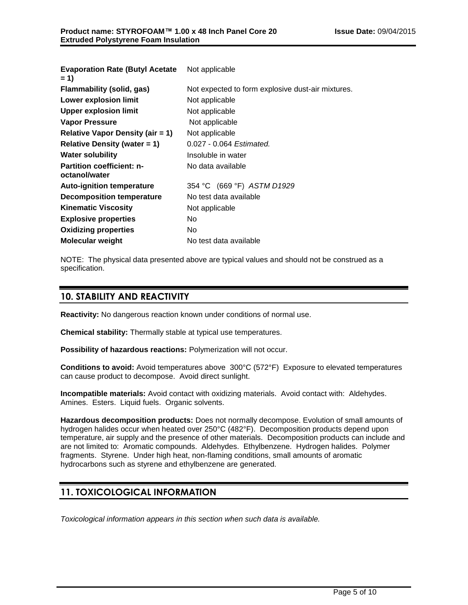| <b>Evaporation Rate (Butyl Acetate)</b><br>$= 1$  | Not applicable                                    |
|---------------------------------------------------|---------------------------------------------------|
| Flammability (solid, gas)                         | Not expected to form explosive dust-air mixtures. |
| Lower explosion limit                             | Not applicable                                    |
| <b>Upper explosion limit</b>                      | Not applicable                                    |
| <b>Vapor Pressure</b>                             | Not applicable                                    |
| Relative Vapor Density (air = 1)                  | Not applicable                                    |
| Relative Density (water $= 1$ )                   | 0.027 - 0.064 Estimated.                          |
| <b>Water solubility</b>                           | Insoluble in water                                |
| <b>Partition coefficient: n-</b><br>octanol/water | No data available                                 |
| <b>Auto-ignition temperature</b>                  | 354 °C (669 °F) ASTM D1929                        |
| Decomposition temperature                         | No test data available                            |
| <b>Kinematic Viscosity</b>                        | Not applicable                                    |
| <b>Explosive properties</b>                       | No.                                               |
| <b>Oxidizing properties</b>                       | No.                                               |
| <b>Molecular weight</b>                           | No test data available                            |

NOTE: The physical data presented above are typical values and should not be construed as a specification.

### **10. STABILITY AND REACTIVITY**

**Reactivity:** No dangerous reaction known under conditions of normal use.

**Chemical stability:** Thermally stable at typical use temperatures.

**Possibility of hazardous reactions:** Polymerization will not occur.

**Conditions to avoid:** Avoid temperatures above 300°C (572°F) Exposure to elevated temperatures can cause product to decompose. Avoid direct sunlight.

**Incompatible materials:** Avoid contact with oxidizing materials. Avoid contact with: Aldehydes. Amines. Esters. Liquid fuels. Organic solvents.

**Hazardous decomposition products:** Does not normally decompose. Evolution of small amounts of hydrogen halides occur when heated over 250°C (482°F). Decomposition products depend upon temperature, air supply and the presence of other materials. Decomposition products can include and are not limited to: Aromatic compounds. Aldehydes. Ethylbenzene. Hydrogen halides. Polymer fragments. Styrene. Under high heat, non-flaming conditions, small amounts of aromatic hydrocarbons such as styrene and ethylbenzene are generated.

# **11. TOXICOLOGICAL INFORMATION**

*Toxicological information appears in this section when such data is available.*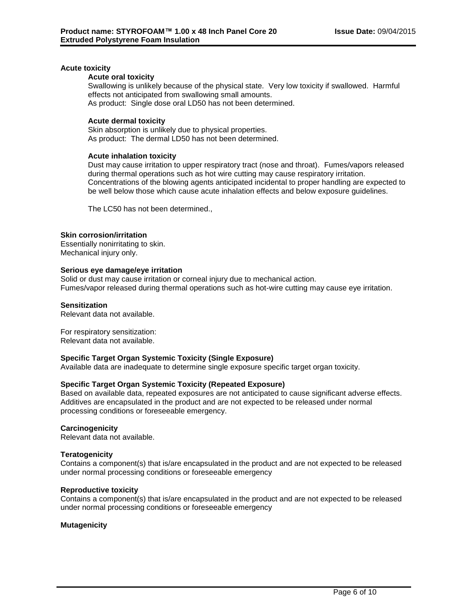#### **Acute toxicity**

#### **Acute oral toxicity**

Swallowing is unlikely because of the physical state. Very low toxicity if swallowed. Harmful effects not anticipated from swallowing small amounts. As product: Single dose oral LD50 has not been determined.

#### **Acute dermal toxicity**

Skin absorption is unlikely due to physical properties. As product: The dermal LD50 has not been determined.

#### **Acute inhalation toxicity**

Dust may cause irritation to upper respiratory tract (nose and throat). Fumes/vapors released during thermal operations such as hot wire cutting may cause respiratory irritation. Concentrations of the blowing agents anticipated incidental to proper handling are expected to be well below those which cause acute inhalation effects and below exposure guidelines.

The LC50 has not been determined.,

#### **Skin corrosion/irritation**

Essentially nonirritating to skin. Mechanical injury only.

#### **Serious eye damage/eye irritation**

Solid or dust may cause irritation or corneal injury due to mechanical action. Fumes/vapor released during thermal operations such as hot-wire cutting may cause eye irritation.

#### **Sensitization**

Relevant data not available.

For respiratory sensitization: Relevant data not available.

#### **Specific Target Organ Systemic Toxicity (Single Exposure)**

Available data are inadequate to determine single exposure specific target organ toxicity.

#### **Specific Target Organ Systemic Toxicity (Repeated Exposure)**

Based on available data, repeated exposures are not anticipated to cause significant adverse effects. Additives are encapsulated in the product and are not expected to be released under normal processing conditions or foreseeable emergency.

#### **Carcinogenicity**

Relevant data not available.

#### **Teratogenicity**

Contains a component(s) that is/are encapsulated in the product and are not expected to be released under normal processing conditions or foreseeable emergency

#### **Reproductive toxicity**

Contains a component(s) that is/are encapsulated in the product and are not expected to be released under normal processing conditions or foreseeable emergency

#### **Mutagenicity**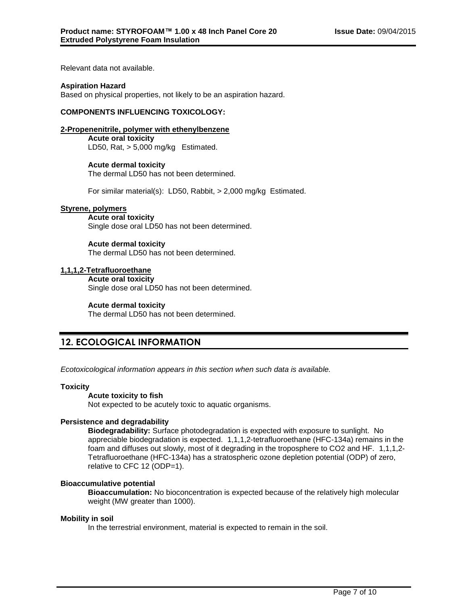Relevant data not available.

#### **Aspiration Hazard**

Based on physical properties, not likely to be an aspiration hazard.

#### **COMPONENTS INFLUENCING TOXICOLOGY:**

#### **2-Propenenitrile, polymer with ethenylbenzene**

**Acute oral toxicity** LD50, Rat, > 5,000 mg/kg Estimated.

#### **Acute dermal toxicity**

The dermal LD50 has not been determined.

For similar material(s): LD50, Rabbit, > 2,000 mg/kg Estimated.

#### **Styrene, polymers**

**Acute oral toxicity** Single dose oral LD50 has not been determined.

#### **Acute dermal toxicity**

The dermal LD50 has not been determined.

#### **1,1,1,2-Tetrafluoroethane**

**Acute oral toxicity**

Single dose oral LD50 has not been determined.

#### **Acute dermal toxicity**

The dermal LD50 has not been determined.

### **12. ECOLOGICAL INFORMATION**

*Ecotoxicological information appears in this section when such data is available.*

#### **Toxicity**

#### **Acute toxicity to fish**

Not expected to be acutely toxic to aquatic organisms.

#### **Persistence and degradability**

**Biodegradability:** Surface photodegradation is expected with exposure to sunlight. No appreciable biodegradation is expected. 1,1,1,2-tetrafluoroethane (HFC-134a) remains in the foam and diffuses out slowly, most of it degrading in the troposphere to CO2 and HF. 1,1,1,2- Tetrafluoroethane (HFC-134a) has a stratospheric ozone depletion potential (ODP) of zero, relative to CFC 12 (ODP=1).

#### **Bioaccumulative potential**

**Bioaccumulation:** No bioconcentration is expected because of the relatively high molecular weight (MW greater than 1000).

#### **Mobility in soil**

In the terrestrial environment, material is expected to remain in the soil.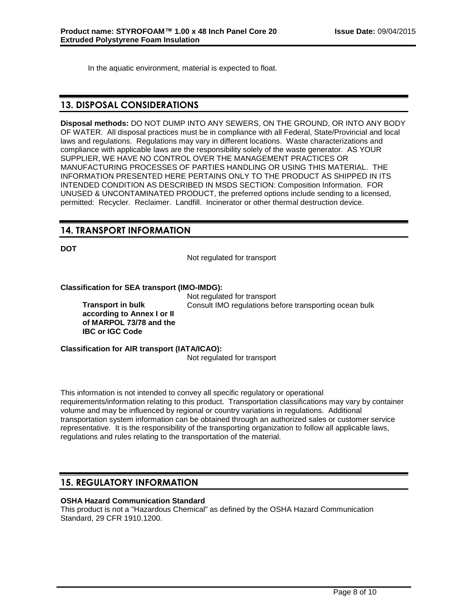In the aquatic environment, material is expected to float.

### **13. DISPOSAL CONSIDERATIONS**

**Disposal methods:** DO NOT DUMP INTO ANY SEWERS, ON THE GROUND, OR INTO ANY BODY OF WATER. All disposal practices must be in compliance with all Federal, State/Provincial and local laws and regulations. Regulations may vary in different locations. Waste characterizations and compliance with applicable laws are the responsibility solely of the waste generator. AS YOUR SUPPLIER, WE HAVE NO CONTROL OVER THE MANAGEMENT PRACTICES OR MANUFACTURING PROCESSES OF PARTIES HANDLING OR USING THIS MATERIAL. THE INFORMATION PRESENTED HERE PERTAINS ONLY TO THE PRODUCT AS SHIPPED IN ITS INTENDED CONDITION AS DESCRIBED IN MSDS SECTION: Composition Information. FOR UNUSED & UNCONTAMINATED PRODUCT, the preferred options include sending to a licensed, permitted: Recycler. Reclaimer. Landfill. Incinerator or other thermal destruction device.

# **14. TRANSPORT INFORMATION**

**DOT**

Not regulated for transport

**Classification for SEA transport (IMO-IMDG):**

**Transport in bulk according to Annex I or II of MARPOL 73/78 and the IBC or IGC Code**

Not regulated for transport Consult IMO regulations before transporting ocean bulk

**Classification for AIR transport (IATA/ICAO):** Not regulated for transport

This information is not intended to convey all specific regulatory or operational requirements/information relating to this product. Transportation classifications may vary by container volume and may be influenced by regional or country variations in regulations. Additional transportation system information can be obtained through an authorized sales or customer service representative. It is the responsibility of the transporting organization to follow all applicable laws, regulations and rules relating to the transportation of the material.

# **15. REGULATORY INFORMATION**

### **OSHA Hazard Communication Standard**

This product is not a "Hazardous Chemical" as defined by the OSHA Hazard Communication Standard, 29 CFR 1910.1200.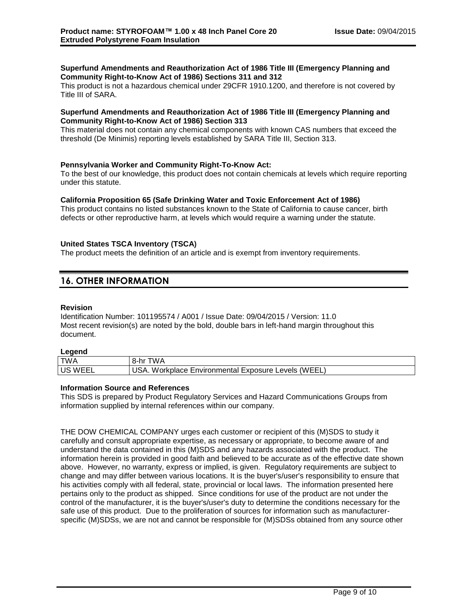#### **Superfund Amendments and Reauthorization Act of 1986 Title III (Emergency Planning and Community Right-to-Know Act of 1986) Sections 311 and 312**

This product is not a hazardous chemical under 29CFR 1910.1200, and therefore is not covered by Title III of SARA.

#### **Superfund Amendments and Reauthorization Act of 1986 Title III (Emergency Planning and Community Right-to-Know Act of 1986) Section 313**

This material does not contain any chemical components with known CAS numbers that exceed the threshold (De Minimis) reporting levels established by SARA Title III, Section 313.

#### **Pennsylvania Worker and Community Right-To-Know Act:**

To the best of our knowledge, this product does not contain chemicals at levels which require reporting under this statute.

#### **California Proposition 65 (Safe Drinking Water and Toxic Enforcement Act of 1986)**

This product contains no listed substances known to the State of California to cause cancer, birth defects or other reproductive harm, at levels which would require a warning under the statute.

#### **United States TSCA Inventory (TSCA)**

The product meets the definition of an article and is exempt from inventory requirements.

### **16. OTHER INFORMATION**

#### **Revision**

Identification Number: 101195574 / A001 / Issue Date: 09/04/2015 / Version: 11.0 Most recent revision(s) are noted by the bold, double bars in left-hand margin throughout this document.

#### **Legend**

| ---------   |                                                                    |
|-------------|--------------------------------------------------------------------|
| TWA         | W٨<br>8-hr                                                         |
| `WEEL<br>US | WEEL.<br>Workplace<br>Exposure<br>Environmental<br>Levels<br>AGU - |

#### **Information Source and References**

This SDS is prepared by Product Regulatory Services and Hazard Communications Groups from information supplied by internal references within our company.

THE DOW CHEMICAL COMPANY urges each customer or recipient of this (M)SDS to study it carefully and consult appropriate expertise, as necessary or appropriate, to become aware of and understand the data contained in this (M)SDS and any hazards associated with the product. The information herein is provided in good faith and believed to be accurate as of the effective date shown above. However, no warranty, express or implied, is given. Regulatory requirements are subject to change and may differ between various locations. It is the buyer's/user's responsibility to ensure that his activities comply with all federal, state, provincial or local laws. The information presented here pertains only to the product as shipped. Since conditions for use of the product are not under the control of the manufacturer, it is the buyer's/user's duty to determine the conditions necessary for the safe use of this product. Due to the proliferation of sources for information such as manufacturerspecific (M)SDSs, we are not and cannot be responsible for (M)SDSs obtained from any source other